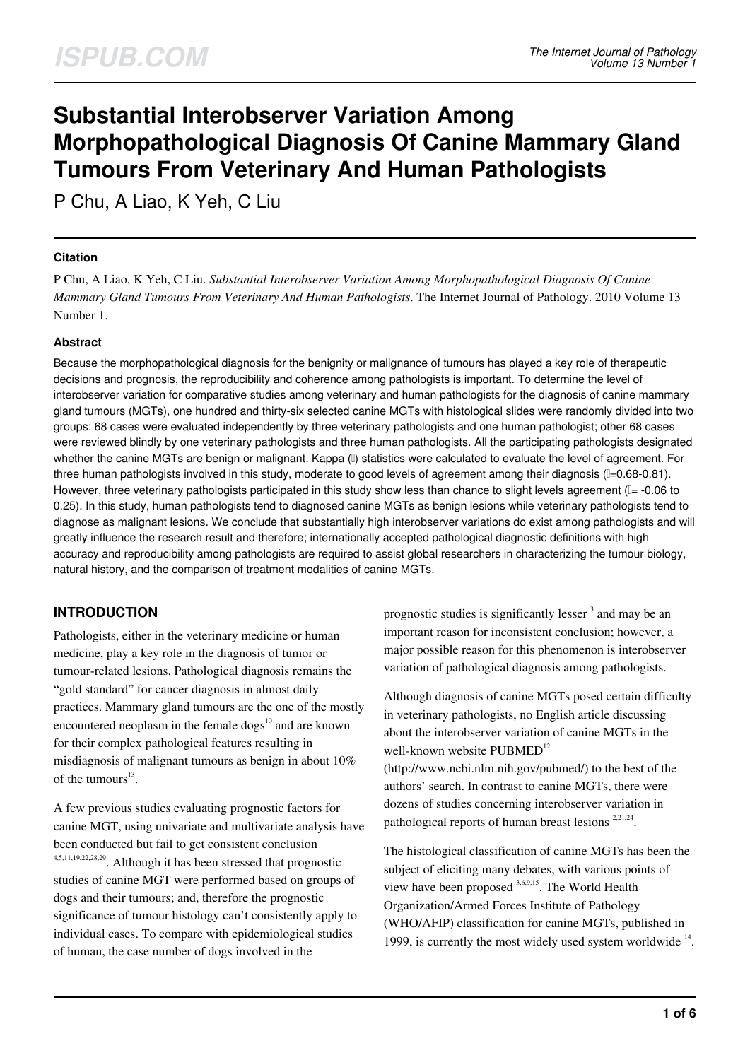# **Substantial Interobserver Variation Among Morphopathological Diagnosis Of Canine Mammary Gland Tumours From Veterinary And Human Pathologists**

P Chu, A Liao, K Yeh, C Liu

#### **Citation**

P Chu, A Liao, K Yeh, C Liu. *Substantial Interobserver Variation Among Morphopathological Diagnosis Of Canine Mammary Gland Tumours From Veterinary And Human Pathologists*. The Internet Journal of Pathology. 2010 Volume 13 Number 1.

#### **Abstract**

Because the morphopathological diagnosis for the benignity or malignance of tumours has played a key role of therapeutic decisions and prognosis, the reproducibility and coherence among pathologists is important. To determine the level of interobserver variation for comparative studies among veterinary and human pathologists for the diagnosis of canine mammary gland tumours (MGTs), one hundred and thirty-six selected canine MGTs with histological slides were randomly divided into two groups: 68 cases were evaluated independently by three veterinary pathologists and one human pathologist; other 68 cases were reviewed blindly by one veterinary pathologists and three human pathologists. All the participating pathologists designated whether the canine MGTs are benign or malignant. Kappa (II) statistics were calculated to evaluate the level of agreement. For three human pathologists involved in this study, moderate to good levels of agreement among their diagnosis (I=0.68-0.81). However, three veterinary pathologists participated in this study show less than chance to slight levels agreement ( $I = -0.06$  to 0.25). In this study, human pathologists tend to diagnosed canine MGTs as benign lesions while veterinary pathologists tend to diagnose as malignant lesions. We conclude that substantially high interobserver variations do exist among pathologists and will greatly influence the research result and therefore; internationally accepted pathological diagnostic definitions with high accuracy and reproducibility among pathologists are required to assist global researchers in characterizing the tumour biology, natural history, and the comparison of treatment modalities of canine MGTs.

#### **INTRODUCTION**

Pathologists, either in the veterinary medicine or human medicine, play a key role in the diagnosis of tumor or tumour-related lesions. Pathological diagnosis remains the "gold standard" for cancer diagnosis in almost daily practices. Mammary gland tumours are the one of the mostly encountered neoplasm in the female  $\log s^{10}$  and are known for their complex pathological features resulting in misdiagnosis of malignant tumours as benign in about 10% of the tumours<sup>13</sup>.

A few previous studies evaluating prognostic factors for canine MGT, using univariate and multivariate analysis have been conducted but fail to get consistent conclusion 4,5,11,19,22,28,29. Although it has been stressed that prognostic studies of canine MGT were performed based on groups of dogs and their tumours; and, therefore the prognostic significance of tumour histology can't consistently apply to individual cases. To compare with epidemiological studies of human, the case number of dogs involved in the

prognostic studies is significantly lesser<sup>3</sup> and may be an important reason for inconsistent conclusion; however, a major possible reason for this phenomenon is interobserver variation of pathological diagnosis among pathologists.

Although diagnosis of canine MGTs posed certain difficulty in veterinary pathologists, no English article discussing about the interobserver variation of canine MGTs in the well-known website PUBMED<sup>12</sup> (http://www.ncbi.nlm.nih.gov/pubmed/) to the best of the authors' search. In contrast to canine MGTs, there were

dozens of studies concerning interobserver variation in pathological reports of human breast lesions<sup>2,21,24</sup>.

The histological classification of canine MGTs has been the subject of eliciting many debates, with various points of view have been proposed 3,6,9,15. The World Health Organization/Armed Forces Institute of Pathology (WHO/AFIP) classification for canine MGTs, published in 1999, is currently the most widely used system worldwide  $14$ .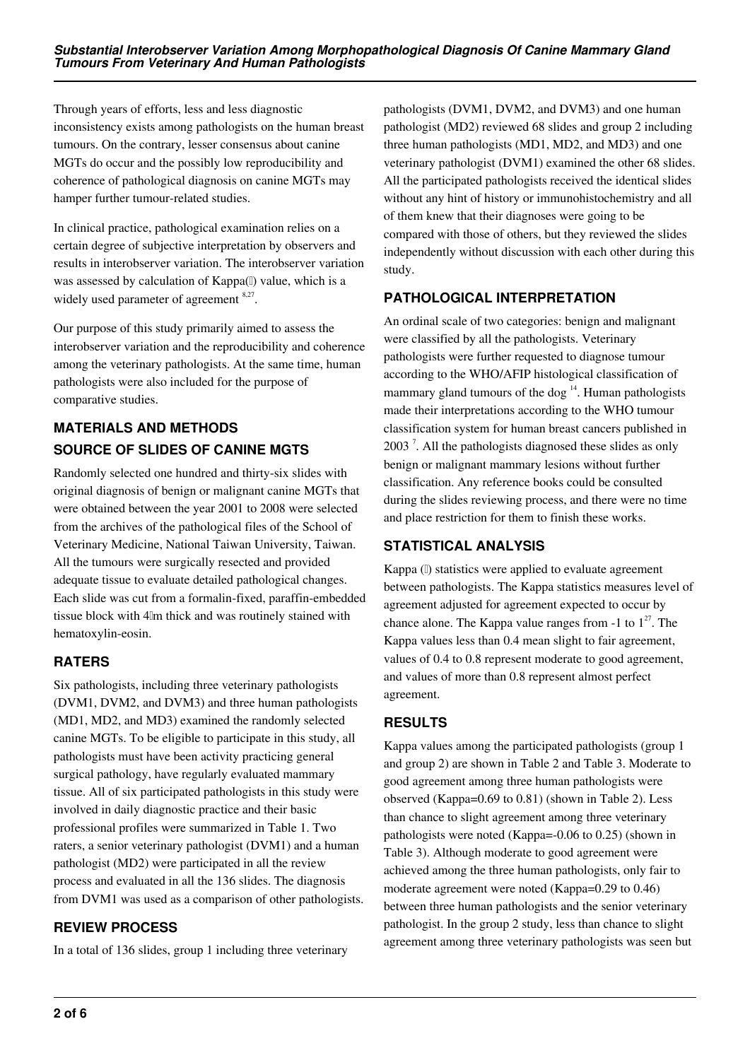Through years of efforts, less and less diagnostic inconsistency exists among pathologists on the human breast tumours. On the contrary, lesser consensus about canine MGTs do occur and the possibly low reproducibility and coherence of pathological diagnosis on canine MGTs may hamper further tumour-related studies.

In clinical practice, pathological examination relies on a certain degree of subjective interpretation by observers and results in interobserver variation. The interobserver variation was assessed by calculation of Kappa(I) value, which is a widely used parameter of agreement 8,27.

Our purpose of this study primarily aimed to assess the interobserver variation and the reproducibility and coherence among the veterinary pathologists. At the same time, human pathologists were also included for the purpose of comparative studies.

# **MATERIALS AND METHODS SOURCE OF SLIDES OF CANINE MGTS**

Randomly selected one hundred and thirty-six slides with original diagnosis of benign or malignant canine MGTs that were obtained between the year 2001 to 2008 were selected from the archives of the pathological files of the School of Veterinary Medicine, National Taiwan University, Taiwan. All the tumours were surgically resected and provided adequate tissue to evaluate detailed pathological changes. Each slide was cut from a formalin-fixed, paraffin-embedded tissue block with 4μm thick and was routinely stained with hematoxylin-eosin.

# **RATERS**

Six pathologists, including three veterinary pathologists (DVM1, DVM2, and DVM3) and three human pathologists (MD1, MD2, and MD3) examined the randomly selected canine MGTs. To be eligible to participate in this study, all pathologists must have been activity practicing general surgical pathology, have regularly evaluated mammary tissue. All of six participated pathologists in this study were involved in daily diagnostic practice and their basic professional profiles were summarized in Table 1. Two raters, a senior veterinary pathologist (DVM1) and a human pathologist (MD2) were participated in all the review process and evaluated in all the 136 slides. The diagnosis from DVM1 was used as a comparison of other pathologists.

# **REVIEW PROCESS**

In a total of 136 slides, group 1 including three veterinary

pathologists (DVM1, DVM2, and DVM3) and one human pathologist (MD2) reviewed 68 slides and group 2 including three human pathologists (MD1, MD2, and MD3) and one veterinary pathologist (DVM1) examined the other 68 slides. All the participated pathologists received the identical slides without any hint of history or immunohistochemistry and all of them knew that their diagnoses were going to be compared with those of others, but they reviewed the slides independently without discussion with each other during this study.

## **PATHOLOGICAL INTERPRETATION**

An ordinal scale of two categories: benign and malignant were classified by all the pathologists. Veterinary pathologists were further requested to diagnose tumour according to the WHO/AFIP histological classification of mammary gland tumours of the dog  $14$ . Human pathologists made their interpretations according to the WHO tumour classification system for human breast cancers published in  $2003$ <sup>7</sup>. All the pathologists diagnosed these slides as only benign or malignant mammary lesions without further classification. Any reference books could be consulted during the slides reviewing process, and there were no time and place restriction for them to finish these works.

## **STATISTICAL ANALYSIS**

Kappa (I) statistics were applied to evaluate agreement between pathologists. The Kappa statistics measures level of agreement adjusted for agreement expected to occur by chance alone. The Kappa value ranges from  $-1$  to  $1^{27}$ . The Kappa values less than 0.4 mean slight to fair agreement, values of 0.4 to 0.8 represent moderate to good agreement, and values of more than 0.8 represent almost perfect agreement.

## **RESULTS**

Kappa values among the participated pathologists (group 1 and group 2) are shown in Table 2 and Table 3. Moderate to good agreement among three human pathologists were observed (Kappa=0.69 to 0.81) (shown in Table 2). Less than chance to slight agreement among three veterinary pathologists were noted (Kappa=-0.06 to 0.25) (shown in Table 3). Although moderate to good agreement were achieved among the three human pathologists, only fair to moderate agreement were noted (Kappa=0.29 to 0.46) between three human pathologists and the senior veterinary pathologist. In the group 2 study, less than chance to slight agreement among three veterinary pathologists was seen but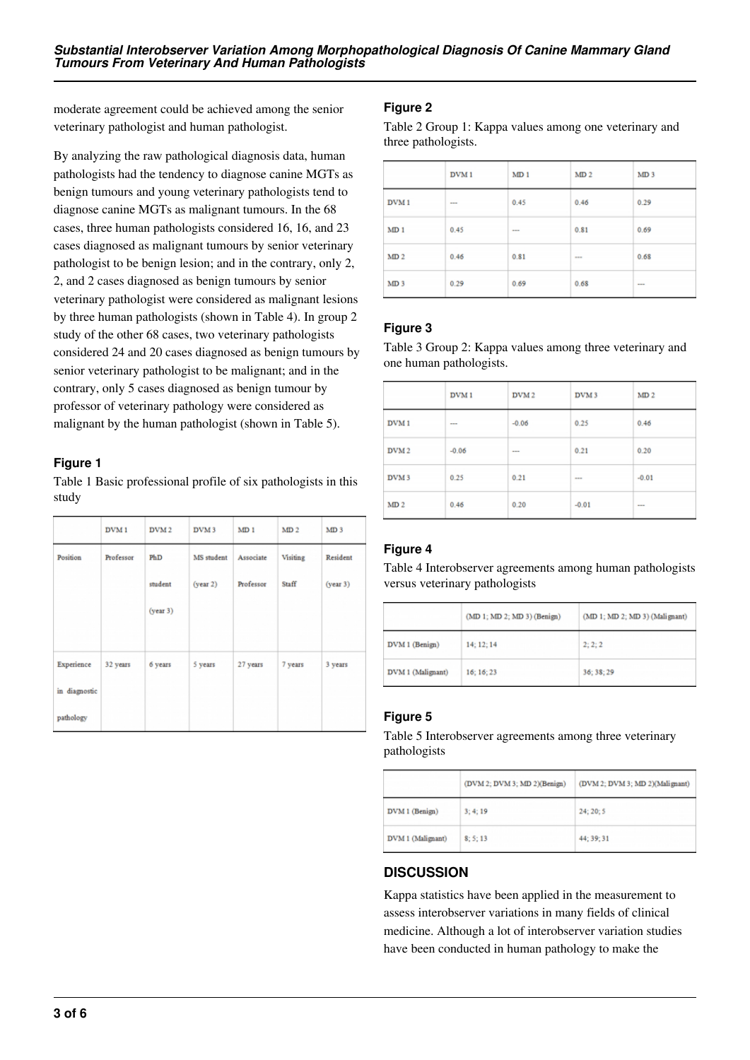moderate agreement could be achieved among the senior veterinary pathologist and human pathologist.

By analyzing the raw pathological diagnosis data, human pathologists had the tendency to diagnose canine MGTs as benign tumours and young veterinary pathologists tend to diagnose canine MGTs as malignant tumours. In the 68 cases, three human pathologists considered 16, 16, and 23 cases diagnosed as malignant tumours by senior veterinary pathologist to be benign lesion; and in the contrary, only 2, 2, and 2 cases diagnosed as benign tumours by senior veterinary pathologist were considered as malignant lesions by three human pathologists (shown in Table 4). In group 2 study of the other 68 cases, two veterinary pathologists considered 24 and 20 cases diagnosed as benign tumours by senior veterinary pathologist to be malignant; and in the contrary, only 5 cases diagnosed as benign tumour by professor of veterinary pathology were considered as malignant by the human pathologist (shown in Table 5).

#### **Figure 1**

Table 1 Basic professional profile of six pathologists in this study

|                                          | DVM <sub>1</sub> | DVM <sub>2</sub>           | DVM <sub>3</sub>       | MD <sub>1</sub>        | MD <sub>2</sub>   | MD <sub>3</sub>      |
|------------------------------------------|------------------|----------------------------|------------------------|------------------------|-------------------|----------------------|
| Position                                 | Professor        | PhD<br>student<br>(year 3) | MS student<br>(year 2) | Associate<br>Professor | Visiting<br>Staff | Resident<br>(year 3) |
| Experience<br>in diagnostic<br>pathology | 32 years         | 6 years                    | 5 years                | 27 years               | 7 years           | 3 years              |

#### **Figure 2**

Table 2 Group 1: Kappa values among one veterinary and three pathologists.

|                  | DVM <sub>1</sub> | MD <sub>1</sub> | MD <sub>2</sub> | MD <sub>3</sub> |
|------------------|------------------|-----------------|-----------------|-----------------|
| DVM <sub>1</sub> | $\cdots$         | 0.45            | 0.46            | 0.29            |
| MD <sub>1</sub>  | 0.45             | $\cdots$        | 0.81            | 0.69            |
| MD <sub>2</sub>  | 0.46             | 0.81            | 1.11            | 0.68            |
| MD <sub>3</sub>  | 0.29             | 0.69            | 0.68            | ---             |

#### **Figure 3**

Table 3 Group 2: Kappa values among three veterinary and one human pathologists.

|                  | DVM <sub>1</sub> | DVM <sub>2</sub> | DVM <sub>3</sub> | MD <sub>2</sub> |
|------------------|------------------|------------------|------------------|-----------------|
| DVM <sub>1</sub> | $\cdots$         | $-0.06$          | 0.25             | 0.46            |
| DVM <sub>2</sub> | $-0.06$          | $\cdots$         | 0.21             | 0.20            |
| DVM <sub>3</sub> | 0.25             | 0.21             | 1.11             | $-0.01$         |
| MD <sub>2</sub>  | 0.46             | 0.20             | $-0.01$          | ---             |

#### **Figure 4**

Table 4 Interobserver agreements among human pathologists versus veterinary pathologists

|                   | (MD 1; MD 2; MD 3) (Benign) | (MD 1; MD 2; MD 3) (Malignant) |
|-------------------|-----------------------------|--------------------------------|
| DVM 1 (Benign)    | 14: 12: 14                  | 2:2:2                          |
| DVM 1 (Malignant) | 16:16:23                    | 36: 38: 29                     |

#### **Figure 5**

Table 5 Interobserver agreements among three veterinary pathologists

|                   | (DVM 2; DVM 3; MD 2)(Benign) | (DVM 2; DVM 3; MD 2)(Malignant) |
|-------------------|------------------------------|---------------------------------|
| DVM 1 (Benign)    | 3; 4; 19                     | 24; 20; 5                       |
| DVM 1 (Malignant) | 8:5:13                       | 44; 39; 31                      |

#### **DISCUSSION**

Kappa statistics have been applied in the measurement to assess interobserver variations in many fields of clinical medicine. Although a lot of interobserver variation studies have been conducted in human pathology to make the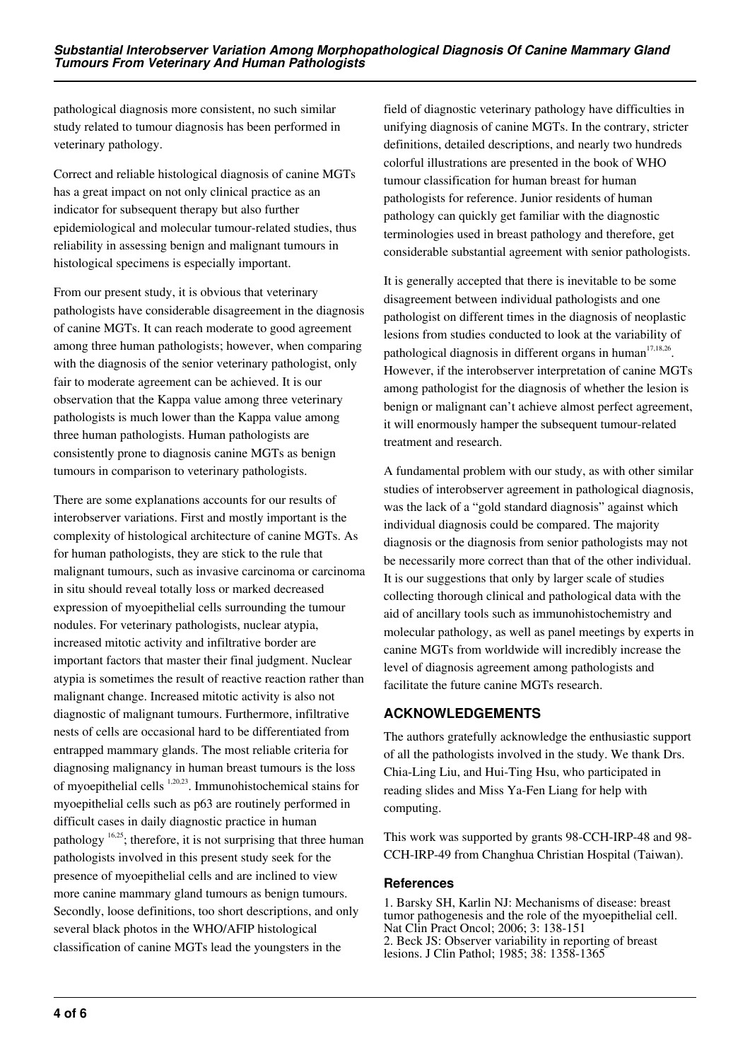pathological diagnosis more consistent, no such similar study related to tumour diagnosis has been performed in veterinary pathology.

Correct and reliable histological diagnosis of canine MGTs has a great impact on not only clinical practice as an indicator for subsequent therapy but also further epidemiological and molecular tumour-related studies, thus reliability in assessing benign and malignant tumours in histological specimens is especially important.

From our present study, it is obvious that veterinary pathologists have considerable disagreement in the diagnosis of canine MGTs. It can reach moderate to good agreement among three human pathologists; however, when comparing with the diagnosis of the senior veterinary pathologist, only fair to moderate agreement can be achieved. It is our observation that the Kappa value among three veterinary pathologists is much lower than the Kappa value among three human pathologists. Human pathologists are consistently prone to diagnosis canine MGTs as benign tumours in comparison to veterinary pathologists.

There are some explanations accounts for our results of interobserver variations. First and mostly important is the complexity of histological architecture of canine MGTs. As for human pathologists, they are stick to the rule that malignant tumours, such as invasive carcinoma or carcinoma in situ should reveal totally loss or marked decreased expression of myoepithelial cells surrounding the tumour nodules. For veterinary pathologists, nuclear atypia, increased mitotic activity and infiltrative border are important factors that master their final judgment. Nuclear atypia is sometimes the result of reactive reaction rather than malignant change. Increased mitotic activity is also not diagnostic of malignant tumours. Furthermore, infiltrative nests of cells are occasional hard to be differentiated from entrapped mammary glands. The most reliable criteria for diagnosing malignancy in human breast tumours is the loss of myoepithelial cells 1,20,23. Immunohistochemical stains for myoepithelial cells such as p63 are routinely performed in difficult cases in daily diagnostic practice in human pathology  $16,25$ ; therefore, it is not surprising that three human pathologists involved in this present study seek for the presence of myoepithelial cells and are inclined to view more canine mammary gland tumours as benign tumours. Secondly, loose definitions, too short descriptions, and only several black photos in the WHO/AFIP histological classification of canine MGTs lead the youngsters in the

field of diagnostic veterinary pathology have difficulties in unifying diagnosis of canine MGTs. In the contrary, stricter definitions, detailed descriptions, and nearly two hundreds colorful illustrations are presented in the book of WHO tumour classification for human breast for human pathologists for reference. Junior residents of human pathology can quickly get familiar with the diagnostic terminologies used in breast pathology and therefore, get considerable substantial agreement with senior pathologists.

It is generally accepted that there is inevitable to be some disagreement between individual pathologists and one pathologist on different times in the diagnosis of neoplastic lesions from studies conducted to look at the variability of pathological diagnosis in different organs in human<sup>17,18,26</sup>. However, if the interobserver interpretation of canine MGTs among pathologist for the diagnosis of whether the lesion is benign or malignant can't achieve almost perfect agreement, it will enormously hamper the subsequent tumour-related treatment and research.

A fundamental problem with our study, as with other similar studies of interobserver agreement in pathological diagnosis, was the lack of a "gold standard diagnosis" against which individual diagnosis could be compared. The majority diagnosis or the diagnosis from senior pathologists may not be necessarily more correct than that of the other individual. It is our suggestions that only by larger scale of studies collecting thorough clinical and pathological data with the aid of ancillary tools such as immunohistochemistry and molecular pathology, as well as panel meetings by experts in canine MGTs from worldwide will incredibly increase the level of diagnosis agreement among pathologists and facilitate the future canine MGTs research.

## **ACKNOWLEDGEMENTS**

The authors gratefully acknowledge the enthusiastic support of all the pathologists involved in the study. We thank Drs. Chia-Ling Liu, and Hui-Ting Hsu, who participated in reading slides and Miss Ya-Fen Liang for help with computing.

This work was supported by grants 98-CCH-IRP-48 and 98- CCH-IRP-49 from Changhua Christian Hospital (Taiwan).

#### **References**

1. Barsky SH, Karlin NJ: Mechanisms of disease: breast tumor pathogenesis and the role of the myoepithelial cell. Nat Clin Pract Oncol; 2006; 3: 138-151 2. Beck JS: Observer variability in reporting of breast lesions. J Clin Pathol; 1985; 38: 1358-1365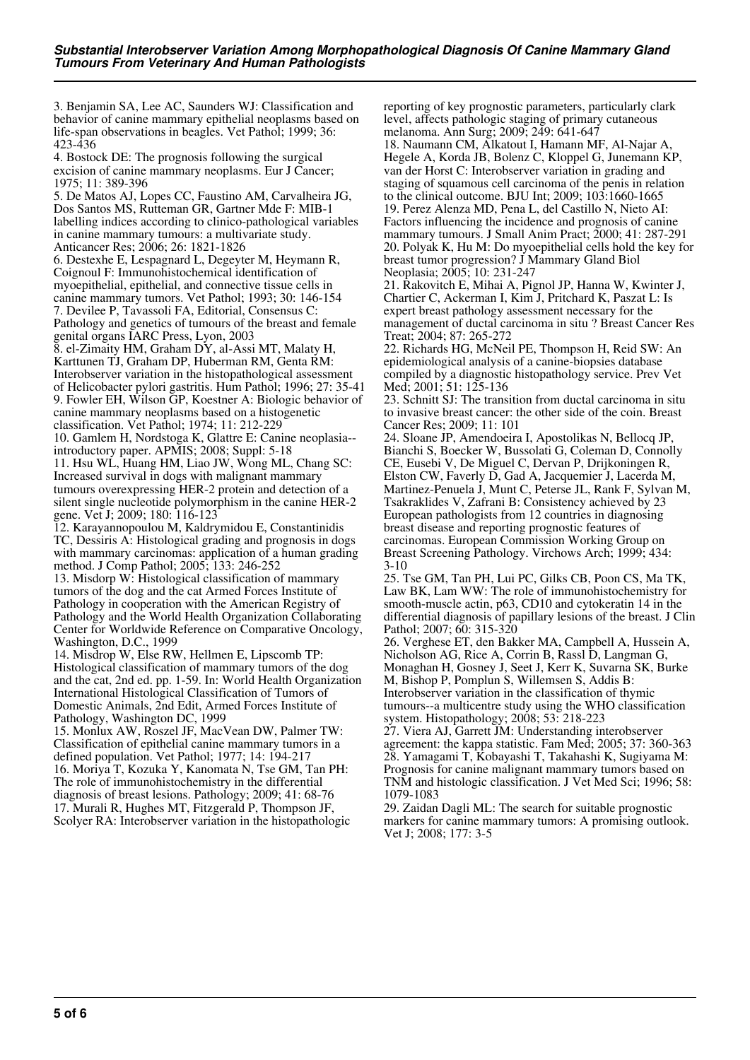3. Benjamin SA, Lee AC, Saunders WJ: Classification and behavior of canine mammary epithelial neoplasms based on life-span observations in beagles. Vet Pathol; 1999; 36: 423-436

4. Bostock DE: The prognosis following the surgical excision of canine mammary neoplasms. Eur J Cancer; 1975; 11: 389-396

5. De Matos AJ, Lopes CC, Faustino AM, Carvalheira JG, Dos Santos MS, Rutteman GR, Gartner Mde F: MIB-1 labelling indices according to clinico-pathological variables in canine mammary tumours: a multivariate study. Anticancer Res; 2006; 26: 1821-1826

6. Destexhe E, Lespagnard L, Degeyter M, Heymann R, Coignoul F: Immunohistochemical identification of myoepithelial, epithelial, and connective tissue cells in canine mammary tumors. Vet Pathol; 1993; 30: 146-154 7. Devilee P, Tavassoli FA, Editorial, Consensus C: Pathology and genetics of tumours of the breast and female genital organs IARC Press, Lyon, 2003

8. el-Zimaity HM, Graham DY, al-Assi MT, Malaty H, Karttunen TJ, Graham DP, Huberman RM, Genta RM: Interobserver variation in the histopathological assessment of Helicobacter pylori gastritis. Hum Pathol; 1996; 27: 35-41 9. Fowler EH, Wilson GP, Koestner A: Biologic behavior of canine mammary neoplasms based on a histogenetic classification. Vet Pathol; 1974; 11: 212-229

10. Gamlem H, Nordstoga K, Glattre E: Canine neoplasia- introductory paper. APMIS; 2008; Suppl: 5-18

11. Hsu WL, Huang HM, Liao JW, Wong ML, Chang SC: Increased survival in dogs with malignant mammary tumours overexpressing HER-2 protein and detection of a silent single nucleotide polymorphism in the canine HER-2 gene. Vet J; 2009; 180: 116-123

12. Karayannopoulou M, Kaldrymidou E, Constantinidis TC, Dessiris A: Histological grading and prognosis in dogs with mammary carcinomas: application of a human grading method. J Comp Pathol; 2005; 133: 246-252

13. Misdorp W: Histological classification of mammary tumors of the dog and the cat Armed Forces Institute of Pathology in cooperation with the American Registry of Pathology and the World Health Organization Collaborating Center for Worldwide Reference on Comparative Oncology, Washington, D.C., 1999

14. Misdrop W, Else RW, Hellmen E, Lipscomb TP: Histological classification of mammary tumors of the dog and the cat, 2nd ed. pp. 1-59. In: World Health Organization International Histological Classification of Tumors of Domestic Animals, 2nd Edit, Armed Forces Institute of Pathology, Washington DC, 1999

15. Monlux AW, Roszel JF, MacVean DW, Palmer TW: Classification of epithelial canine mammary tumors in a defined population. Vet Pathol; 1977; 14: 194-217 16. Moriya T, Kozuka Y, Kanomata N, Tse GM, Tan PH: The role of immunohistochemistry in the differential diagnosis of breast lesions. Pathology; 2009; 41: 68-76 17. Murali R, Hughes MT, Fitzgerald P, Thompson JF, Scolyer RA: Interobserver variation in the histopathologic reporting of key prognostic parameters, particularly clark level, affects pathologic staging of primary cutaneous melanoma. Ann Surg; 2009; 249: 641-647

18. Naumann CM, Alkatout I, Hamann MF, Al-Najar A, Hegele A, Korda JB, Bolenz C, Kloppel G, Junemann KP, van der Horst C: Interobserver variation in grading and staging of squamous cell carcinoma of the penis in relation to the clinical outcome. BJU Int; 2009; 103:1660-1665 19. Perez Alenza MD, Pena L, del Castillo N, Nieto AI: Factors influencing the incidence and prognosis of canine mammary tumours. J Small Anim Pract; 2000; 41: 287-291 20. Polyak K, Hu M: Do myoepithelial cells hold the key for breast tumor progression? J Mammary Gland Biol Neoplasia; 2005; 10: 231-247

21. Rakovitch E, Mihai A, Pignol JP, Hanna W, Kwinter J, Chartier C, Ackerman I, Kim J, Pritchard K, Paszat L: Is expert breast pathology assessment necessary for the management of ductal carcinoma in situ ? Breast Cancer Res Treat; 2004; 87: 265-272

22. Richards HG, McNeil PE, Thompson H, Reid SW: An epidemiological analysis of a canine-biopsies database compiled by a diagnostic histopathology service. Prev Vet Med; 2001; 51: 125-136

23. Schnitt SJ: The transition from ductal carcinoma in situ to invasive breast cancer: the other side of the coin. Breast Cancer Res; 2009; 11: 101

24. Sloane JP, Amendoeira I, Apostolikas N, Bellocq JP, Bianchi S, Boecker W, Bussolati G, Coleman D, Connolly CE, Eusebi V, De Miguel C, Dervan P, Drijkoningen R, Elston CW, Faverly D, Gad A, Jacquemier J, Lacerda M, Martinez-Penuela J, Munt C, Peterse JL, Rank F, Sylvan M, Tsakraklides V, Zafrani B: Consistency achieved by 23 European pathologists from 12 countries in diagnosing breast disease and reporting prognostic features of carcinomas. European Commission Working Group on Breast Screening Pathology. Virchows Arch; 1999; 434: 3-10

25. Tse GM, Tan PH, Lui PC, Gilks CB, Poon CS, Ma TK, Law BK, Lam WW: The role of immunohistochemistry for smooth-muscle actin, p63, CD10 and cytokeratin 14 in the differential diagnosis of papillary lesions of the breast. J Clin Pathol; 2007; 60: 315-320

26. Verghese ET, den Bakker MA, Campbell A, Hussein A, Nicholson AG, Rice A, Corrin B, Rassl D, Langman G, Monaghan H, Gosney J, Seet J, Kerr K, Suvarna SK, Burke M, Bishop P, Pomplun S, Willemsen S, Addis B: Interobserver variation in the classification of thymic tumours--a multicentre study using the WHO classification system. Histopathology; 2008; 53: 218-223

27. Viera AJ, Garrett JM: Understanding interobserver agreement: the kappa statistic. Fam Med; 2005; 37: 360-363 28. Yamagami T, Kobayashi T, Takahashi K, Sugiyama M: Prognosis for canine malignant mammary tumors based on TNM and histologic classification. J Vet Med Sci; 1996; 58: 1079-1083

29. Zaidan Dagli ML: The search for suitable prognostic markers for canine mammary tumors: A promising outlook. Vet J; 2008; 177: 3-5